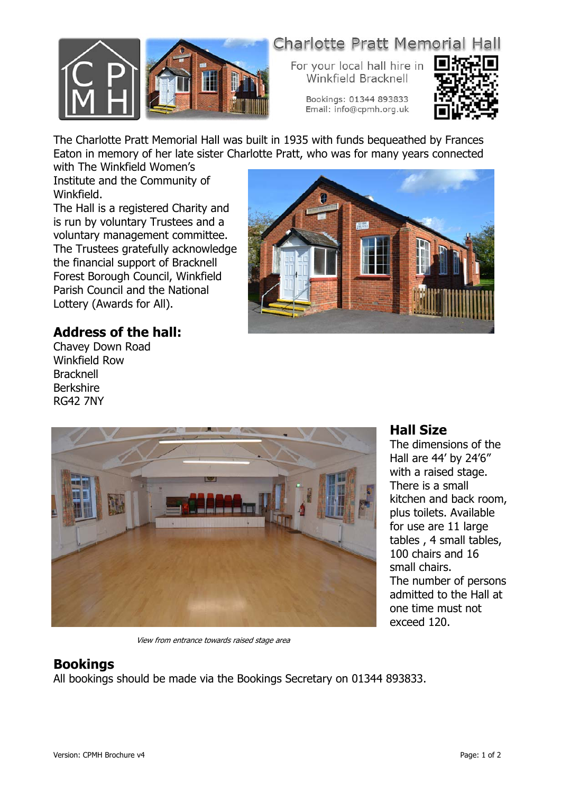

# **Charlotte Pratt Memorial Hall**

For your local hall hire in Winkfield Bracknell

> Bookings: 01344 893833 Email: info@cpmh.org.uk



The Charlotte Pratt Memorial Hall was built in 1935 with funds bequeathed by Frances Eaton in memory of her late sister Charlotte Pratt, who was for many years connected

with The Winkfield Women's Institute and the Community of Winkfield.

The Hall is a registered Charity and is run by voluntary Trustees and a voluntary management committee. The Trustees gratefully acknowledge the financial support of Bracknell Forest Borough Council, Winkfield Parish Council and the National Lottery (Awards for All).



### **Address of the hall:**

Chavey Down Road Winkfield Row Bracknell Berkshire RG42 7NY



View from entrance towards raised stage area

#### **Hall Size**

The dimensions of the Hall are 44' by 24'6" with a raised stage. There is a small kitchen and back room, plus toilets. Available for use are 11 large tables , 4 small tables, 100 chairs and 16 small chairs. The number of persons admitted to the Hall at one time must not exceed 120.

### **Bookings**

All bookings should be made via the Bookings Secretary on 01344 893833.